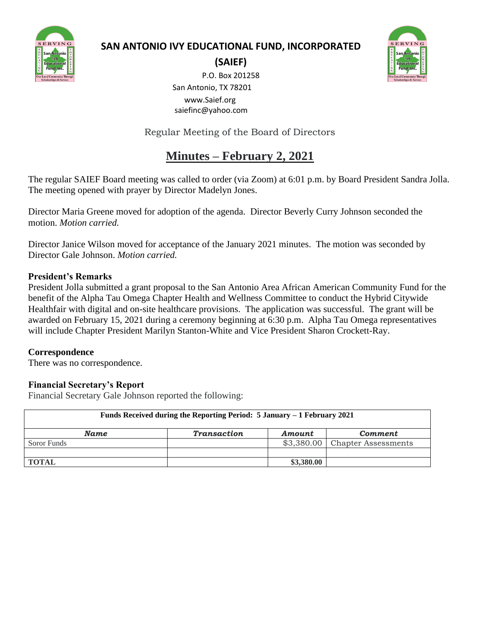

# **SAN ANTONIO IVY EDUCATIONAL FUND, INCORPORATED**



**(SAIEF)**

P.O. Box 201258 San Antonio, TX 78201 www.Saief.org saiefinc@yahoo.com

Regular Meeting of the Board of Directors

# **Minutes – February 2, 2021**

The regular SAIEF Board meeting was called to order (via Zoom) at 6:01 p.m. by Board President Sandra Jolla. The meeting opened with prayer by Director Madelyn Jones.

Director Maria Greene moved for adoption of the agenda. Director Beverly Curry Johnson seconded the motion. *Motion carried.*

Director Janice Wilson moved for acceptance of the January 2021 minutes. The motion was seconded by Director Gale Johnson. *Motion carried.*

# **President's Remarks**

President Jolla submitted a grant proposal to the San Antonio Area African American Community Fund for the benefit of the Alpha Tau Omega Chapter Health and Wellness Committee to conduct the Hybrid Citywide Healthfair with digital and on-site healthcare provisions. The application was successful. The grant will be awarded on February 15, 2021 during a ceremony beginning at 6:30 p.m. Alpha Tau Omega representatives will include Chapter President Marilyn Stanton-White and Vice President Sharon Crockett-Ray.

# **Correspondence**

There was no correspondence.

# **Financial Secretary's Report**

Financial Secretary Gale Johnson reported the following:

| Funds Received during the Reporting Period: 5 January – 1 February 2021 |                    |            |                                 |  |  |  |  |  |
|-------------------------------------------------------------------------|--------------------|------------|---------------------------------|--|--|--|--|--|
| <b>Name</b>                                                             | <b>Transaction</b> | Amount     | <b>Comment</b>                  |  |  |  |  |  |
| Soror Funds                                                             |                    |            | $$3,380.00$ Chapter Assessments |  |  |  |  |  |
|                                                                         |                    |            |                                 |  |  |  |  |  |
| <b>TOTAL</b>                                                            |                    | \$3,380.00 |                                 |  |  |  |  |  |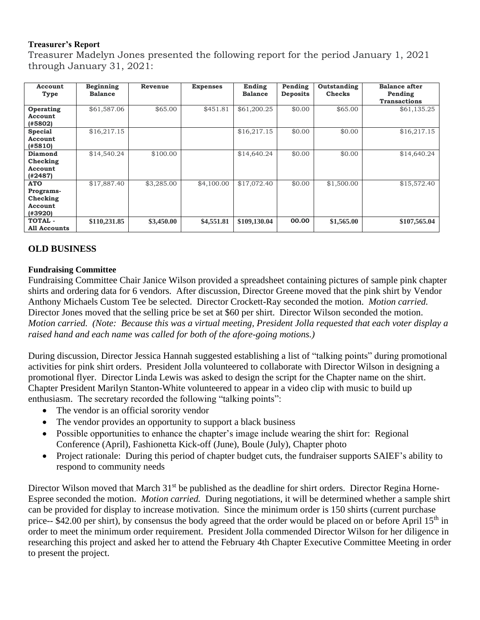#### **Treasurer's Report**

Treasurer Madelyn Jones presented the following report for the period January 1, 2021 through January 31, 2021:

| Account<br>Type                                                  | Beginning<br><b>Balance</b> | Revenue    | <b>Expenses</b> | Ending<br><b>Balance</b> | Pending<br><b>Deposits</b> | Outstanding<br><b>Checks</b> | <b>Balance after</b><br>Pending<br><b>Transactions</b> |
|------------------------------------------------------------------|-----------------------------|------------|-----------------|--------------------------|----------------------------|------------------------------|--------------------------------------------------------|
| Operating<br><b>Account</b><br>(#5802)                           | \$61,587.06                 | \$65.00    | \$451.81        | \$61,200.25              | \$0.00                     | \$65.00                      | \$61,135.25                                            |
| <b>Special</b><br>Account<br>(#5810)                             | \$16,217.15                 |            |                 | \$16,217.15              | \$0.00                     | \$0.00                       | \$16,217.15                                            |
| Diamond<br>Checking<br>Account<br>(42487)                        | \$14,540.24                 | \$100.00   |                 | \$14,640.24              | \$0.00                     | \$0.00                       | \$14,640.24                                            |
| <b>ATO</b><br><b>Programs-</b><br>Checking<br>Account<br>(#3920) | \$17,887.40                 | \$3,285.00 | \$4,100.00      | \$17,072.40              | \$0.00                     | \$1,500.00                   | \$15,572.40                                            |
| <b>TOTAL -</b><br>All Accounts                                   | \$110,231.85                | \$3,450.00 | \$4,551.81      | \$109,130.04             | 00.00                      | \$1,565.00                   | \$107,565.04                                           |

# **OLD BUSINESS**

#### **Fundraising Committee**

Fundraising Committee Chair Janice Wilson provided a spreadsheet containing pictures of sample pink chapter shirts and ordering data for 6 vendors. After discussion, Director Greene moved that the pink shirt by Vendor Anthony Michaels Custom Tee be selected. Director Crockett-Ray seconded the motion. *Motion carried.* Director Jones moved that the selling price be set at \$60 per shirt. Director Wilson seconded the motion. *Motion carried. (Note: Because this was a virtual meeting, President Jolla requested that each voter display a raised hand and each name was called for both of the afore-going motions.)*

During discussion, Director Jessica Hannah suggested establishing a list of "talking points" during promotional activities for pink shirt orders. President Jolla volunteered to collaborate with Director Wilson in designing a promotional flyer. Director Linda Lewis was asked to design the script for the Chapter name on the shirt. Chapter President Marilyn Stanton-White volunteered to appear in a video clip with music to build up enthusiasm. The secretary recorded the following "talking points":

- The vendor is an official sorority vendor
- The vendor provides an opportunity to support a black business
- Possible opportunities to enhance the chapter's image include wearing the shirt for: Regional Conference (April), Fashionetta Kick-off (June), Boule (July), Chapter photo
- Project rationale: During this period of chapter budget cuts, the fundraiser supports SAIEF's ability to respond to community needs

Director Wilson moved that March 31<sup>st</sup> be published as the deadline for shirt orders. Director Regina Horne-Espree seconded the motion. *Motion carried.* During negotiations, it will be determined whether a sample shirt can be provided for display to increase motivation. Since the minimum order is 150 shirts (current purchase price-- \$42.00 per shirt), by consensus the body agreed that the order would be placed on or before April 15<sup>th</sup> in order to meet the minimum order requirement. President Jolla commended Director Wilson for her diligence in researching this project and asked her to attend the February 4th Chapter Executive Committee Meeting in order to present the project.